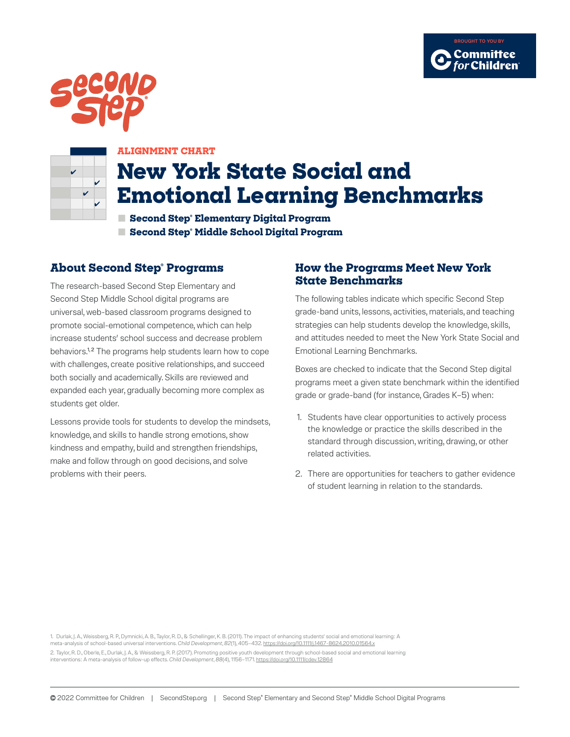





### **ALIGNMENT CHART**

# **New York State Social and Emotional Learning Benchmarks**

**■ Second Step® Elementary Digital Program ■ Second Step® Middle School Digital Program**

### **About Second Step® Programs**

The research-based Second Step Elementary and Second Step Middle School digital programs are universal, web-based classroom programs designed to promote social-emotional competence, which can help increase students' school success and decrease problem behaviors.<sup>1,2</sup> The programs help students learn how to cope with challenges, create positive relationships, and succeed both socially and academically. Skills are reviewed and expanded each year, gradually becoming more complex as students get older.

Lessons provide tools for students to develop the mindsets, knowledge, and skills to handle strong emotions, show kindness and empathy, build and strengthen friendships, make and follow through on good decisions, and solve problems with their peers.

### **How the Programs Meet New York State Benchmarks**

The following tables indicate which specific Second Step grade-band units, lessons, activities, materials, and teaching strategies can help students develop the knowledge, skills, and attitudes needed to meet the New York State Social and Emotional Learning Benchmarks.

Boxes are checked to indicate that the Second Step digital programs meet a given state benchmark within the identified grade or grade-band (for instance, Grades K–5) when:

- 1. Students have clear opportunities to actively process the knowledge or practice the skills described in the standard through discussion, writing, drawing, or other related activities.
- 2. There are opportunities for teachers to gather evidence of student learning in relation to the standards.

1. Durlak, J. A., Weissberg, R. P., Dymnicki, A. B., Taylor, R. D., & Schellinger, K. B. (2011). The impact of enhancing students' social and emotional learning: A meta-analysis of school-based universal interventions. *Child Development*, *82*(1), 405–432. <https://doi.org/10.1111/j.1467-8624.2010.01564.x> 2. Taylor, R. D., Oberle, E., Durlak, J. A., & Weissberg, R. P. (2017). Promoting positive youth development through school-based social and emotional learning interventions: A meta-analysis of follow-up effects. *Child Development*, *88*(4), 1156–1171.<https://doi.org/10.1111/cdev.12864>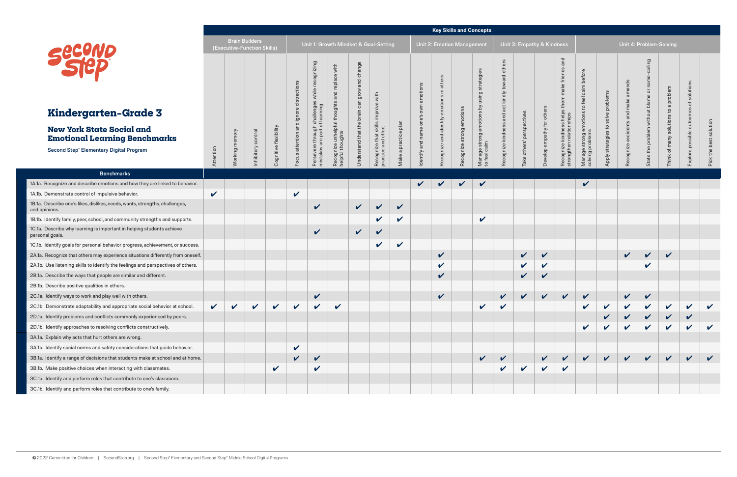|                                                                                                                            |              |                                                      |                   |                            |                                       |                                                                             |                                                  |                       |                                         |                                      |                          |                            | <b>Key Skills and Concepts</b>    |                               |                                                    |                            |                            |                                                                                                                                                    |                                     |                                     |                                                     |                             |                          |                            |                           |  |
|----------------------------------------------------------------------------------------------------------------------------|--------------|------------------------------------------------------|-------------------|----------------------------|---------------------------------------|-----------------------------------------------------------------------------|--------------------------------------------------|-----------------------|-----------------------------------------|--------------------------------------|--------------------------|----------------------------|-----------------------------------|-------------------------------|----------------------------------------------------|----------------------------|----------------------------|----------------------------------------------------------------------------------------------------------------------------------------------------|-------------------------------------|-------------------------------------|-----------------------------------------------------|-----------------------------|--------------------------|----------------------------|---------------------------|--|
|                                                                                                                            |              | <b>Brain Builders</b><br>(Executive-Function Skills) |                   |                            | Unit 1: Growth Mindset & Goal-Setting |                                                                             |                                                  |                       |                                         |                                      |                          |                            | <b>Unit 2: Emotion Management</b> |                               |                                                    | Unit 3: Empathy & Kindness |                            |                                                                                                                                                    |                                     | Unit 4: Problem-Solving             |                                                     |                             |                          |                            |                           |  |
|                                                                                                                            |              |                                                      |                   |                            | ctions<br>distr                       | puiz<br>cogni<br>$\omega$                                                   | and replace with                                 | change<br>and<br>grow | with                                    |                                      | emotions                 | in others                  |                                   | Эe<br>$\sigma$                | oth<br>$\overline{\sigma}$<br><b>NO4</b><br>kindly |                            |                            | and<br>friends<br>ake                                                                                                                              | before<br>calm                      |                                     | ds<br>$\omega$                                      |                             | problem                  | solutions                  |                           |  |
| <b>Kindergarten-Grade 3</b>                                                                                                |              |                                                      |                   |                            | ignor                                 | pring<br>ဥ္ .                                                               |                                                  | can<br>the brain      | skills improve                          |                                      | own<br>$\omega$          | emotion                    | motion                            | $\omega$<br>notion            | act<br>and                                         |                            | oth                        | $\frac{d}{d}$<br>ships                                                                                                                             | $\circ$<br>emotions<br>15           | solve problems                      | $\overline{\sigma}$                                 | without blam                | $\sigma$<br>$\mathbf{S}$ | đ<br>comes                 |                           |  |
| <b>New York State Social and</b><br><b>Emotional Learning Benchmarks</b><br><b>Second Step® Elementary Digital Program</b> | Attention    | Working                                              | nhibitory control | Cognitive flexibility      | and<br>attention<br>snoc.             | 증등<br>nrough<br>• part o<br>vere thr<br>kes are l<br>nistakes<br><b>Gel</b> | Recognize unhelpful thoughts<br>helpful thoughts | Understand that       | Recognize that sk<br>practice and effor | plan<br>practice<br>$\sigma$<br>Make | δ<br>and name<br>lentify | Recognize and identify     | stronge<br>Recognize              | Manage strong<br>to feel calm | Recognize kindness                                 | Take others' perspectives  | empathy<br>Develop         | SS<br>relations<br>kindne<br>$\mathrel{\mathop{\rule{0pt}{0pt}}\nolimits\mathrel{\mathop{\rule{0pt}{0pt}}\nolimits}}$<br>Recognize I<br>strengthen | Manage strong e<br>solving problems | $\mathtt{S}$<br>strategies<br>Apply | $\frac{\Theta}{\Theta}$<br>$\overline{2}$ e<br>ogni | Ē<br>proble<br>the<br>State | olutions<br>৳<br>Think   | <b>SC</b><br>Explore       | solution<br>Pick the best |  |
| <b>Benchmarks</b>                                                                                                          |              |                                                      |                   |                            |                                       |                                                                             |                                                  |                       |                                         |                                      |                          |                            |                                   |                               |                                                    |                            |                            |                                                                                                                                                    |                                     |                                     |                                                     |                             |                          |                            |                           |  |
| 1A.1a. Recognize and describe emotions and how they are linked to behavior.                                                |              |                                                      |                   |                            |                                       |                                                                             |                                                  |                       |                                         |                                      | $\checkmark$             | V                          | $\mathbf{v}$                      | $\checkmark$                  |                                                    |                            |                            |                                                                                                                                                    | $\checkmark$                        |                                     |                                                     |                             |                          |                            |                           |  |
| 1A.1b. Demonstrate control of impulsive behavior.                                                                          | $\checkmark$ |                                                      |                   |                            | $\checkmark$                          |                                                                             |                                                  |                       |                                         |                                      |                          |                            |                                   |                               |                                                    |                            |                            |                                                                                                                                                    |                                     |                                     |                                                     |                             |                          |                            |                           |  |
| 1B.1a. Describe one's likes, dislikes, needs, wants, strengths, challenges,<br>and opinions.                               |              |                                                      |                   |                            |                                       | $\checkmark$                                                                |                                                  | $\checkmark$          | $\boldsymbol{\mathcal{U}}$              | $\checkmark$                         |                          |                            |                                   |                               |                                                    |                            |                            |                                                                                                                                                    |                                     |                                     |                                                     |                             |                          |                            |                           |  |
| 1B.1b. Identify family, peer, school, and community strengths and supports.                                                |              |                                                      |                   |                            |                                       |                                                                             |                                                  |                       | V                                       | $\checkmark$                         |                          |                            |                                   | $\checkmark$                  |                                                    |                            |                            |                                                                                                                                                    |                                     |                                     |                                                     |                             |                          |                            |                           |  |
| 1C.1a. Describe why learning is important in helping students achieve<br>personal goals.                                   |              |                                                      |                   |                            |                                       | $\checkmark$                                                                |                                                  | $\checkmark$          | V                                       |                                      |                          |                            |                                   |                               |                                                    |                            |                            |                                                                                                                                                    |                                     |                                     |                                                     |                             |                          |                            |                           |  |
| 1C.1b. Identify goals for personal behavior progress, achievement, or success.                                             |              |                                                      |                   |                            |                                       |                                                                             |                                                  |                       | V                                       | $\checkmark$                         |                          |                            |                                   |                               |                                                    |                            |                            |                                                                                                                                                    |                                     |                                     |                                                     |                             |                          |                            |                           |  |
| 2A.1a. Recognize that others may experience situations differently from oneself.                                           |              |                                                      |                   |                            |                                       |                                                                             |                                                  |                       |                                         |                                      |                          | $\checkmark$               |                                   |                               |                                                    | $\checkmark$               | $\checkmark$               |                                                                                                                                                    |                                     |                                     | $\checkmark$                                        | $\checkmark$                | $\checkmark$             |                            |                           |  |
| 2A.1b. Use listening skills to identify the feelings and perspectives of others.                                           |              |                                                      |                   |                            |                                       |                                                                             |                                                  |                       |                                         |                                      |                          | $\checkmark$               |                                   |                               |                                                    | $\checkmark$               | $\checkmark$               |                                                                                                                                                    |                                     |                                     |                                                     |                             |                          |                            |                           |  |
| 2B.1a. Describe the ways that people are similar and different.                                                            |              |                                                      |                   |                            |                                       |                                                                             |                                                  |                       |                                         |                                      |                          | $\checkmark$               |                                   |                               |                                                    | $\boldsymbol{\mathcal{U}}$ | $\checkmark$               |                                                                                                                                                    |                                     |                                     |                                                     |                             |                          |                            |                           |  |
| 2B.1b. Describe positive qualities in others.                                                                              |              |                                                      |                   |                            |                                       |                                                                             |                                                  |                       |                                         |                                      |                          |                            |                                   |                               |                                                    |                            |                            |                                                                                                                                                    |                                     |                                     |                                                     |                             |                          |                            |                           |  |
| 2C.1a. Identify ways to work and play well with others.                                                                    |              |                                                      |                   |                            |                                       | $\boldsymbol{\nu}$                                                          |                                                  |                       |                                         |                                      |                          | $\boldsymbol{\mathcal{U}}$ |                                   |                               | $\mathbf{v}$                                       | $\mathbf{v}$               | $\mathbf{v}$               | $\mathbf{v}$                                                                                                                                       | $\boldsymbol{\nu}$                  |                                     | $\boldsymbol{\nu}$                                  | $\boldsymbol{\nu}$          |                          |                            |                           |  |
| 2C.1b. Demonstrate adaptability and appropriate social behavior at school.                                                 | V            | $\checkmark$                                         | $\checkmark$      | $\checkmark$               |                                       | $\boldsymbol{\nu}$                                                          | $\boldsymbol{\mathcal{U}}$                       |                       |                                         |                                      |                          |                            |                                   | V                             | V                                                  |                            |                            |                                                                                                                                                    |                                     |                                     |                                                     |                             |                          |                            |                           |  |
| 2D.1a. Identify problems and conflicts commonly experienced by peers.                                                      |              |                                                      |                   |                            |                                       |                                                                             |                                                  |                       |                                         |                                      |                          |                            |                                   |                               |                                                    |                            |                            |                                                                                                                                                    |                                     |                                     |                                                     |                             |                          |                            |                           |  |
| 2D.1b. Identify approaches to resolving conflicts constructively.                                                          |              |                                                      |                   |                            |                                       |                                                                             |                                                  |                       |                                         |                                      |                          |                            |                                   |                               |                                                    |                            |                            |                                                                                                                                                    | V                                   |                                     |                                                     |                             | $\checkmark$             | $\mathbf v$                | $\checkmark$              |  |
| 3A.1a. Explain why acts that hurt others are wrong.                                                                        |              |                                                      |                   |                            |                                       |                                                                             |                                                  |                       |                                         |                                      |                          |                            |                                   |                               |                                                    |                            |                            |                                                                                                                                                    |                                     |                                     |                                                     |                             |                          |                            |                           |  |
| 3A.1b. Identify social norms and safety considerations that guide behavior.                                                |              |                                                      |                   |                            | $\checkmark$                          |                                                                             |                                                  |                       |                                         |                                      |                          |                            |                                   |                               |                                                    |                            |                            |                                                                                                                                                    |                                     |                                     |                                                     |                             |                          |                            |                           |  |
| 3B.1a. Identify a range of decisions that students make at school and at home.                                             |              |                                                      |                   |                            |                                       | $\checkmark$                                                                |                                                  |                       |                                         |                                      |                          |                            |                                   | $\checkmark$                  | $\checkmark$                                       |                            | $\boldsymbol{\mathcal{U}}$ | ✓                                                                                                                                                  | $\mathbf v$                         | $\mathbf v$                         | $\checkmark$                                        | $\mathbf{v}$                | $\mathbf v$              | $\boldsymbol{\mathcal{U}}$ |                           |  |
| 3B.1b. Make positive choices when interacting with classmates.                                                             |              |                                                      |                   | $\boldsymbol{\mathcal{U}}$ |                                       | $\boldsymbol{\mathcal{U}}$                                                  |                                                  |                       |                                         |                                      |                          |                            |                                   |                               | V                                                  | $\boldsymbol{\mathcal{U}}$ | V                          | V                                                                                                                                                  |                                     |                                     |                                                     |                             |                          |                            |                           |  |
| 3C.1a. Identify and perform roles that contribute to one's classroom.                                                      |              |                                                      |                   |                            |                                       |                                                                             |                                                  |                       |                                         |                                      |                          |                            |                                   |                               |                                                    |                            |                            |                                                                                                                                                    |                                     |                                     |                                                     |                             |                          |                            |                           |  |
| 3C.1b. Identify and perform roles that contribute to one's family.                                                         |              |                                                      |                   |                            |                                       |                                                                             |                                                  |                       |                                         |                                      |                          |                            |                                   |                               |                                                    |                            |                            |                                                                                                                                                    |                                     |                                     |                                                     |                             |                          |                            |                           |  |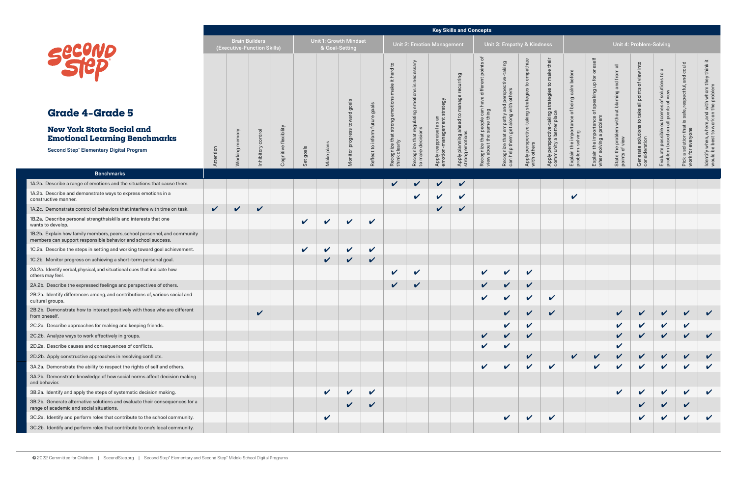|                                                                                                                                           | <b>Key Skills and Concepts</b> |              |                                                      |                       |              |                                          |                                                                |                                   |                                        |                                                                                   |                                           |                                                                |                                                                                   |                                                                                                               |                                                           |                                                                                                    |                                                                                           |                                                                             |                                                                                              |                                                                           |                                                                                                                      |                                                   |                                                                                           |  |
|-------------------------------------------------------------------------------------------------------------------------------------------|--------------------------------|--------------|------------------------------------------------------|-----------------------|--------------|------------------------------------------|----------------------------------------------------------------|-----------------------------------|----------------------------------------|-----------------------------------------------------------------------------------|-------------------------------------------|----------------------------------------------------------------|-----------------------------------------------------------------------------------|---------------------------------------------------------------------------------------------------------------|-----------------------------------------------------------|----------------------------------------------------------------------------------------------------|-------------------------------------------------------------------------------------------|-----------------------------------------------------------------------------|----------------------------------------------------------------------------------------------|---------------------------------------------------------------------------|----------------------------------------------------------------------------------------------------------------------|---------------------------------------------------|-------------------------------------------------------------------------------------------|--|
|                                                                                                                                           |                                |              | <b>Brain Builders</b><br>(Executive-Function Skills) |                       |              | Unit 1: Growth Mindset<br>& Goal-Setting |                                                                |                                   |                                        |                                                                                   | <b>Unit 2: Emotion Management</b>         |                                                                |                                                                                   |                                                                                                               | Unit 3: Empathy & Kindness                                |                                                                                                    | Unit 4: Problem-Solving                                                                   |                                                                             |                                                                                              |                                                                           |                                                                                                                      |                                                   |                                                                                           |  |
| <b>Grade 4-Grade 5</b><br><b>New York State Social and</b><br><b>Emotional Learning Benchmarks</b>                                        |                                | memory       |                                                      |                       |              |                                          | oals<br>$\bar{\sigma}$<br>$\overline{a}$<br><b>IEWO1</b><br>SS | goals<br>Reflect to inform future | nard to<br>ᅩ<br>$\pm$<br>ake<br>motion | cessary<br>en<br>.≌<br>emotions<br>Recognize that regulating<br>to make decisions | strategy<br>$\overline{\mathsf{a}}$       | recurring<br>Apply planning ahead to manage<br>strong emotions | ৳<br>Recognize that people can have different points<br>view about the same thing | e-taking<br>perspective-<br>others<br>Recognize that empathy and <sub>l</sub><br>can help them get along with | empathize<br>$\mathbf{S}$<br>ဖ<br>strategies<br>g<br>taki | their<br>make<br>$\overline{c}$<br>Apply perspective-taking strategies<br>community a better place | calm before<br>being<br>$\rm \breve{\sigma}$<br>Explain the importance<br>problem-solving | Explain the importance of speaking up for oneself<br>when solving a problem | $\overline{\overline{a}}$<br>and from<br>State the problem without blaming<br>points of view | into<br>view<br>Generate solutions to take all points of<br>consideration | $\boldsymbol{\varpi}$<br>s of solutions to a<br>of view<br>Evaluate possible outcomes<br>problem based on all points | could<br>spectful, and<br>safe, res<br>∾.<br>that | ldentify when, where, and with whom they think it<br>would be best to work on the problem |  |
| Second Step® Elementary Digital Program                                                                                                   | Attention                      | Working      | nhibitory control                                    | Cognitive flexibility | Set goals    | plans<br>Make                            | progre<br>Monitor                                              |                                   | Recognize that strong<br>think clearly |                                                                                   | Apply reappraisal as<br>emotion-managemer |                                                                |                                                                                   |                                                                                                               | Apply perspective-<br>with others                         |                                                                                                    |                                                                                           |                                                                             | points                                                                                       |                                                                           |                                                                                                                      | Pick a solution that<br>work for everyone         |                                                                                           |  |
| <b>Benchmarks</b>                                                                                                                         |                                |              |                                                      |                       |              |                                          |                                                                |                                   |                                        |                                                                                   |                                           |                                                                |                                                                                   |                                                                                                               |                                                           |                                                                                                    |                                                                                           |                                                                             |                                                                                              |                                                                           |                                                                                                                      |                                                   |                                                                                           |  |
| 1A.2a. Describe a range of emotions and the situations that cause them.                                                                   |                                |              |                                                      |                       |              |                                          |                                                                |                                   | $\checkmark$                           | ✔                                                                                 | V                                         | $\boldsymbol{\mathcal{U}}$                                     |                                                                                   |                                                                                                               |                                                           |                                                                                                    |                                                                                           |                                                                             |                                                                                              |                                                                           |                                                                                                                      |                                                   |                                                                                           |  |
| 1A.2b. Describe and demonstrate ways to express emotions in a<br>constructive manner.                                                     |                                |              |                                                      |                       |              |                                          |                                                                |                                   |                                        | $\boldsymbol{\nu}$                                                                | $\checkmark$                              | V                                                              |                                                                                   |                                                                                                               |                                                           |                                                                                                    | $\mathbf v$                                                                               |                                                                             |                                                                                              |                                                                           |                                                                                                                      |                                                   |                                                                                           |  |
| 1A.2c. Demonstrate control of behaviors that interfere with time on task.                                                                 | $\checkmark$                   | $\checkmark$ | $\checkmark$                                         |                       |              |                                          |                                                                |                                   |                                        |                                                                                   | V                                         | V                                                              |                                                                                   |                                                                                                               |                                                           |                                                                                                    |                                                                                           |                                                                             |                                                                                              |                                                                           |                                                                                                                      |                                                   |                                                                                           |  |
| 1B.2a. Describe personal strengths/skills and interests that one<br>wants to develop.                                                     |                                |              |                                                      |                       | $\mathbf v$  | $\checkmark$                             | $\checkmark$                                                   | $\checkmark$                      |                                        |                                                                                   |                                           |                                                                |                                                                                   |                                                                                                               |                                                           |                                                                                                    |                                                                                           |                                                                             |                                                                                              |                                                                           |                                                                                                                      |                                                   |                                                                                           |  |
| 1B.2b. Explain how family members, peers, school personnel, and community<br>members can support responsible behavior and school success. |                                |              |                                                      |                       |              |                                          |                                                                |                                   |                                        |                                                                                   |                                           |                                                                |                                                                                   |                                                                                                               |                                                           |                                                                                                    |                                                                                           |                                                                             |                                                                                              |                                                                           |                                                                                                                      |                                                   |                                                                                           |  |
| 1C.2a. Describe the steps in setting and working toward goal achievement.                                                                 |                                |              |                                                      |                       | $\checkmark$ | $\boldsymbol{\mathcal{U}}$               | $\boldsymbol{\mathcal{U}}$                                     | $\checkmark$                      |                                        |                                                                                   |                                           |                                                                |                                                                                   |                                                                                                               |                                                           |                                                                                                    |                                                                                           |                                                                             |                                                                                              |                                                                           |                                                                                                                      |                                                   |                                                                                           |  |
| 1C.2b. Monitor progress on achieving a short-term personal goal.                                                                          |                                |              |                                                      |                       |              | $\checkmark$                             | $\checkmark$                                                   | $\checkmark$                      |                                        |                                                                                   |                                           |                                                                |                                                                                   |                                                                                                               |                                                           |                                                                                                    |                                                                                           |                                                                             |                                                                                              |                                                                           |                                                                                                                      |                                                   |                                                                                           |  |
| 2A.2a. Identify verbal, physical, and situational cues that indicate how<br>others may feel.                                              |                                |              |                                                      |                       |              |                                          |                                                                |                                   | $\checkmark$                           | $\mathbf{v}$                                                                      |                                           |                                                                | $\checkmark$                                                                      | $\checkmark$                                                                                                  | $\checkmark$                                              |                                                                                                    |                                                                                           |                                                                             |                                                                                              |                                                                           |                                                                                                                      |                                                   |                                                                                           |  |
| 2A.2b. Describe the expressed feelings and perspectives of others.                                                                        |                                |              |                                                      |                       |              |                                          |                                                                |                                   | $\checkmark$                           | ✔                                                                                 |                                           |                                                                | V                                                                                 | $\checkmark$                                                                                                  | $\checkmark$                                              |                                                                                                    |                                                                                           |                                                                             |                                                                                              |                                                                           |                                                                                                                      |                                                   |                                                                                           |  |
| 2B.2a. Identify differences among, and contributions of, various social and<br>cultural groups.                                           |                                |              |                                                      |                       |              |                                          |                                                                |                                   |                                        |                                                                                   |                                           |                                                                |                                                                                   |                                                                                                               |                                                           |                                                                                                    |                                                                                           |                                                                             |                                                                                              |                                                                           |                                                                                                                      |                                                   |                                                                                           |  |
| 2B.2b. Demonstrate how to interact positively with those who are different<br>from oneself.                                               |                                |              | $\boldsymbol{\mathcal{U}}$                           |                       |              |                                          |                                                                |                                   |                                        |                                                                                   |                                           |                                                                |                                                                                   |                                                                                                               | V                                                         | $\checkmark$                                                                                       |                                                                                           |                                                                             |                                                                                              |                                                                           |                                                                                                                      |                                                   |                                                                                           |  |
| 2C.2a. Describe approaches for making and keeping friends.                                                                                |                                |              |                                                      |                       |              |                                          |                                                                |                                   |                                        |                                                                                   |                                           |                                                                |                                                                                   | V                                                                                                             | $\checkmark$                                              |                                                                                                    |                                                                                           |                                                                             |                                                                                              | $\checkmark$                                                              | $\boldsymbol{\mathcal{U}}$                                                                                           | $\checkmark$                                      |                                                                                           |  |
| 2C.2b. Analyze ways to work effectively in groups.                                                                                        |                                |              |                                                      |                       |              |                                          |                                                                |                                   |                                        |                                                                                   |                                           |                                                                | $\checkmark$                                                                      |                                                                                                               | V                                                         |                                                                                                    |                                                                                           |                                                                             |                                                                                              |                                                                           | V                                                                                                                    | $\checkmark$                                      | $\checkmark$                                                                              |  |
| 2D.2a. Describe causes and consequences of conflicts.                                                                                     |                                |              |                                                      |                       |              |                                          |                                                                |                                   |                                        |                                                                                   |                                           |                                                                |                                                                                   |                                                                                                               |                                                           |                                                                                                    |                                                                                           |                                                                             |                                                                                              |                                                                           |                                                                                                                      |                                                   |                                                                                           |  |
| 2D.2b. Apply constructive approaches in resolving conflicts.                                                                              |                                |              |                                                      |                       |              |                                          |                                                                |                                   |                                        |                                                                                   |                                           |                                                                |                                                                                   |                                                                                                               | V                                                         |                                                                                                    | $\mathbf{v}$                                                                              | $\checkmark$                                                                |                                                                                              | $\checkmark$                                                              | $\checkmark$                                                                                                         | $\boldsymbol{\mathcal{U}}$                        |                                                                                           |  |
| 3A.2a. Demonstrate the ability to respect the rights of self and others.                                                                  |                                |              |                                                      |                       |              |                                          |                                                                |                                   |                                        |                                                                                   |                                           |                                                                | $\checkmark$                                                                      | $\checkmark$                                                                                                  | $\checkmark$                                              | V                                                                                                  |                                                                                           |                                                                             |                                                                                              | $\boldsymbol{\mathcal{U}}$                                                |                                                                                                                      |                                                   |                                                                                           |  |
| 3A.2b. Demonstrate knowledge of how social norms affect decision making<br>and behavior.                                                  |                                |              |                                                      |                       |              |                                          |                                                                |                                   |                                        |                                                                                   |                                           |                                                                |                                                                                   |                                                                                                               |                                                           |                                                                                                    |                                                                                           |                                                                             |                                                                                              |                                                                           |                                                                                                                      |                                                   |                                                                                           |  |
| 3B.2a. Identify and apply the steps of systematic decision making.                                                                        |                                |              |                                                      |                       |              | $\checkmark$                             | $\checkmark$                                                   | $\checkmark$                      |                                        |                                                                                   |                                           |                                                                |                                                                                   |                                                                                                               |                                                           |                                                                                                    |                                                                                           |                                                                             | V                                                                                            | $\checkmark$                                                              | $\boldsymbol{\mathcal{U}}$                                                                                           | $\checkmark$                                      | $\checkmark$                                                                              |  |
| 3B.2b. Generate alternative solutions and evaluate their consequences for a<br>range of academic and social situations.                   |                                |              |                                                      |                       |              |                                          |                                                                | V                                 |                                        |                                                                                   |                                           |                                                                |                                                                                   |                                                                                                               |                                                           |                                                                                                    |                                                                                           |                                                                             |                                                                                              |                                                                           |                                                                                                                      |                                                   |                                                                                           |  |
| 3C.2a. Identify and perform roles that contribute to the school community.                                                                |                                |              |                                                      |                       |              | $\boldsymbol{\mathcal{U}}$               |                                                                |                                   |                                        |                                                                                   |                                           |                                                                |                                                                                   | $\checkmark$                                                                                                  | $\boldsymbol{\mathcal{U}}$                                | $\boldsymbol{\mathcal{U}}$                                                                         |                                                                                           |                                                                             |                                                                                              | V                                                                         |                                                                                                                      | $\checkmark$                                      |                                                                                           |  |
| 3C.2b. Identify and perform roles that contribute to one's local community.                                                               |                                |              |                                                      |                       |              |                                          |                                                                |                                   |                                        |                                                                                   |                                           |                                                                |                                                                                   |                                                                                                               |                                                           |                                                                                                    |                                                                                           |                                                                             |                                                                                              |                                                                           |                                                                                                                      |                                                   |                                                                                           |  |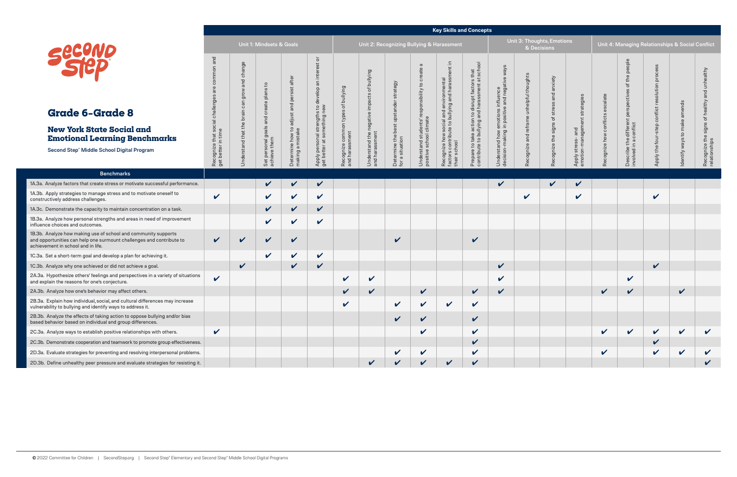#### **Key Skills and Concepts**

# **Grade 6–Grade 8**

|                                                                                                                                                                              |                                                               |                                 |                                              |                                                |                                                                                                                       |                                                     |                                                                              |                                                                                 |                                                                                        |                                                                                                            | <b>Rey Skills and Concepts</b>                                                                    |                                                                                                     |                                               |                                                        |                                                          |                                                  |                                                                                                                                |                                          |                            |                                               |  |  |
|------------------------------------------------------------------------------------------------------------------------------------------------------------------------------|---------------------------------------------------------------|---------------------------------|----------------------------------------------|------------------------------------------------|-----------------------------------------------------------------------------------------------------------------------|-----------------------------------------------------|------------------------------------------------------------------------------|---------------------------------------------------------------------------------|----------------------------------------------------------------------------------------|------------------------------------------------------------------------------------------------------------|---------------------------------------------------------------------------------------------------|-----------------------------------------------------------------------------------------------------|-----------------------------------------------|--------------------------------------------------------|----------------------------------------------------------|--------------------------------------------------|--------------------------------------------------------------------------------------------------------------------------------|------------------------------------------|----------------------------|-----------------------------------------------|--|--|
|                                                                                                                                                                              |                                                               | Unit 1: Mindsets & Goals        |                                              |                                                |                                                                                                                       |                                                     |                                                                              | Unit 2: Recognizing Bullying & Harassment                                       |                                                                                        |                                                                                                            |                                                                                                   |                                                                                                     |                                               |                                                        | Unit 3: Thoughts, Emotions                               | Unit 4: Managing Relationships & Social Conflict |                                                                                                                                |                                          |                            |                                               |  |  |
| <b>Grade 6-Grade 8</b><br><b>New York State Social and</b><br><b>Emotional Learning Benchmarks</b><br>Second Step <sup>®</sup> Middle School Digital Program                 | and<br>challer<br>Recognize that social<br>get better in time | change<br>and<br>stand that the | te pla<br>Set personal goals<br>achieve them | e how to<br>mistake<br>Determine<br>making a ı | $\overline{\sigma}$<br>inter<br>develop an<br>$\mathtt{S}$<br>ngths<br>ලා<br>ಹ ದಿ<br>Apply persona<br>get better at s | bullying<br>đ<br>Recognize common<br>and harassment | of bullying<br>cts<br>impa<br>negative<br>Understand the r<br>and harassment | strategy<br>st upstan<br><b>be</b><br>Determine the <b>k</b><br>for a situation | $\sigma$<br>sibility<br>tand students' re<br>eschool climate<br>Understa<br>positive s | ognize how social and environmental<br>ors contribute to bullying and harass<br>r school<br>Recor<br>their | Prepare to take action to disrupt factors that<br>contribute to bullying and harassment at school | ns influence<br>:ive and negativ<br>emotion:<br>in positiv<br>how (<br>Understand I<br>decision-mal | thoughts<br>unhelpful<br>$\omega$<br>$\sigma$ | anxiety<br>and<br>stres<br>৳<br>signs<br>Recognize the | tegie<br>and<br>ರಾ<br>5 <sup>th</sup><br>Apply<br>emotic | Recognize how                                    | people<br>the<br>$\overline{\sigma}$<br>ທ<br>perspective<br>different<br>conflict<br>the<br>n a c<br>Describe t<br>involved ir | $\overline{Q}$<br>olutio<br>the<br>Apply | ds<br>ways to<br>dentify   | unhealthy<br>Recognize the :<br>relationships |  |  |
| <b>Benchmarks</b>                                                                                                                                                            |                                                               |                                 |                                              |                                                |                                                                                                                       |                                                     |                                                                              |                                                                                 |                                                                                        |                                                                                                            |                                                                                                   |                                                                                                     |                                               |                                                        |                                                          |                                                  |                                                                                                                                |                                          |                            |                                               |  |  |
| 1A.3a. Analyze factors that create stress or motivate successful performance.                                                                                                |                                                               |                                 | V                                            | $\checkmark$                                   | $\checkmark$                                                                                                          |                                                     |                                                                              |                                                                                 |                                                                                        |                                                                                                            |                                                                                                   | $\checkmark$                                                                                        |                                               | $\checkmark$                                           | $\checkmark$                                             |                                                  |                                                                                                                                |                                          |                            |                                               |  |  |
| 1A.3b. Apply strategies to manage stress and to motivate oneself to<br>constructively address challenges.                                                                    | $\checkmark$                                                  |                                 | $\checkmark$                                 | $\checkmark$                                   | $\checkmark$                                                                                                          |                                                     |                                                                              |                                                                                 |                                                                                        |                                                                                                            |                                                                                                   |                                                                                                     | $\checkmark$                                  |                                                        | V                                                        |                                                  |                                                                                                                                | $\checkmark$                             |                            |                                               |  |  |
| 1A.3c. Demonstrate the capacity to maintain concentration on a task.                                                                                                         |                                                               |                                 | $\boldsymbol{\mathcal{U}}$                   | $\checkmark$                                   | $\checkmark$                                                                                                          |                                                     |                                                                              |                                                                                 |                                                                                        |                                                                                                            |                                                                                                   |                                                                                                     |                                               |                                                        |                                                          |                                                  |                                                                                                                                |                                          |                            |                                               |  |  |
| 1B.3a. Analyze how personal strengths and areas in need of improvement<br>influence choices and outcomes.                                                                    |                                                               |                                 | V                                            | $\checkmark$                                   | $\checkmark$                                                                                                          |                                                     |                                                                              |                                                                                 |                                                                                        |                                                                                                            |                                                                                                   |                                                                                                     |                                               |                                                        |                                                          |                                                  |                                                                                                                                |                                          |                            |                                               |  |  |
| 1B.3b. Analyze how making use of school and community supports<br>and opportunities can help one surmount challenges and contribute to<br>achievement in school and in life. | $\checkmark$                                                  | $\checkmark$                    | $\checkmark$                                 | $\checkmark$                                   |                                                                                                                       |                                                     |                                                                              | $\sqrt{2}$                                                                      |                                                                                        |                                                                                                            | $\checkmark$                                                                                      |                                                                                                     |                                               |                                                        |                                                          |                                                  |                                                                                                                                |                                          |                            |                                               |  |  |
| 1C.3a. Set a short-term goal and develop a plan for achieving it.                                                                                                            |                                                               |                                 | V                                            | $\boldsymbol{\mathcal{U}}$                     | $\mathbf v$                                                                                                           |                                                     |                                                                              |                                                                                 |                                                                                        |                                                                                                            |                                                                                                   |                                                                                                     |                                               |                                                        |                                                          |                                                  |                                                                                                                                |                                          |                            |                                               |  |  |
| 1C.3b. Analyze why one achieved or did not achieve a goal.                                                                                                                   |                                                               | $\checkmark$                    |                                              | $\checkmark$                                   | $\checkmark$                                                                                                          |                                                     |                                                                              |                                                                                 |                                                                                        |                                                                                                            |                                                                                                   | $\checkmark$                                                                                        |                                               |                                                        |                                                          |                                                  |                                                                                                                                | $\checkmark$                             |                            |                                               |  |  |
| 2A.3a. Hypothesize others' feelings and perspectives in a variety of situations<br>and explain the reasons for one's conjecture.                                             | $\checkmark$                                                  |                                 |                                              |                                                |                                                                                                                       | $\checkmark$                                        | $\mathbf v$                                                                  |                                                                                 |                                                                                        |                                                                                                            |                                                                                                   | $\checkmark$                                                                                        |                                               |                                                        |                                                          |                                                  | $\mathbf{v}$                                                                                                                   |                                          |                            |                                               |  |  |
| 2A.3b. Analyze how one's behavior may affect others.                                                                                                                         |                                                               |                                 |                                              |                                                |                                                                                                                       | V                                                   | $\mathbf{v}$                                                                 |                                                                                 | $\checkmark$                                                                           |                                                                                                            | $\checkmark$                                                                                      | $\checkmark$                                                                                        |                                               |                                                        |                                                          | $\checkmark$                                     | $\checkmark$                                                                                                                   |                                          | $\checkmark$               |                                               |  |  |
| 2B.3a. Explain how individual, social, and cultural differences may increase<br>vulnerability to bullying and identify ways to address it.                                   |                                                               |                                 |                                              |                                                |                                                                                                                       |                                                     |                                                                              |                                                                                 |                                                                                        |                                                                                                            | V                                                                                                 |                                                                                                     |                                               |                                                        |                                                          |                                                  |                                                                                                                                |                                          |                            |                                               |  |  |
| 2B.3b. Analyze the effects of taking action to oppose bullying and/or bias<br>based behavior based on individual and group differences.                                      |                                                               |                                 |                                              |                                                |                                                                                                                       |                                                     |                                                                              | $\checkmark$                                                                    | V                                                                                      |                                                                                                            | $\checkmark$                                                                                      |                                                                                                     |                                               |                                                        |                                                          |                                                  |                                                                                                                                |                                          |                            |                                               |  |  |
| 2C.3a. Analyze ways to establish positive relationships with others.                                                                                                         | $\checkmark$                                                  |                                 |                                              |                                                |                                                                                                                       |                                                     |                                                                              |                                                                                 | V                                                                                      |                                                                                                            | $\checkmark$                                                                                      |                                                                                                     |                                               |                                                        |                                                          | $\checkmark$                                     | $\checkmark$                                                                                                                   | $\checkmark$                             | $\boldsymbol{\mathcal{U}}$ | $\checkmark$                                  |  |  |
| 2C.3b. Demonstrate cooperation and teamwork to promote group effectiveness.                                                                                                  |                                                               |                                 |                                              |                                                |                                                                                                                       |                                                     |                                                                              |                                                                                 |                                                                                        |                                                                                                            | V                                                                                                 |                                                                                                     |                                               |                                                        |                                                          |                                                  |                                                                                                                                | V                                        |                            |                                               |  |  |
| 2D.3a. Evaluate strategies for preventing and resolving interpersonal problems.                                                                                              |                                                               |                                 |                                              |                                                |                                                                                                                       |                                                     |                                                                              | $\checkmark$                                                                    | $\boldsymbol{\mathcal{U}}$                                                             |                                                                                                            | V                                                                                                 |                                                                                                     |                                               |                                                        |                                                          | $\mathbf v$                                      |                                                                                                                                | $\boldsymbol{\mathcal{U}}$               | $\boldsymbol{\mathcal{U}}$ | $\checkmark$                                  |  |  |
| 2D.3b. Define unhealthy peer pressure and evaluate strategies for resisting it.                                                                                              |                                                               |                                 |                                              |                                                |                                                                                                                       |                                                     | $\checkmark$                                                                 |                                                                                 | V                                                                                      | $\checkmark$                                                                                               | $\checkmark$                                                                                      |                                                                                                     |                                               |                                                        |                                                          |                                                  |                                                                                                                                |                                          |                            | $\checkmark$                                  |  |  |

## **New York State Social Emotional Learning Benewish**